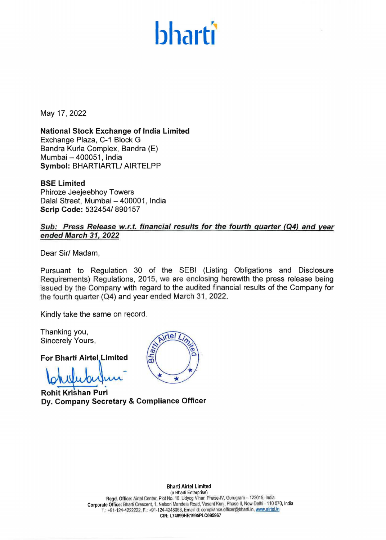# **bharti**

May 17, 2022

**National Stock Exchange of India Limited**  Exchange Plaza, C-1 Block G Sandra Kurla Complex, Sandra (E) Mumbai - 400051, India **Symbol:** BHARTIARTL/ AIRTELPP

**BSE Limited**  Phiroze Jeejeebhoy Towers Dalal Street, Mumbai - 400001, India **Scrip Code:** 532454/ 890157

### Sub: Press Release w.r.t. financial results for the fourth quarter (Q4) and year **ended March 31, 2022**

Dear Sir/ Madam,

Pursuant to Regulation 30 of the SEBI (Listing Obligations and Disclosure Requirements) Regulations, 2015, we are enclosing herewith the press release being issued by the Company with regard to the audited financial results of the Company for the fourth quarter (Q4) and year ended March 31, 2022.

irtel

 $\star$ 

Bhar

Kindly take the same on record.

Thanking you, Sincerely Yours,

**For Bharti Airtel Limited** 

**Rohit Krishan Puri Dy. Company Secretary** & **Compliance Officer** 

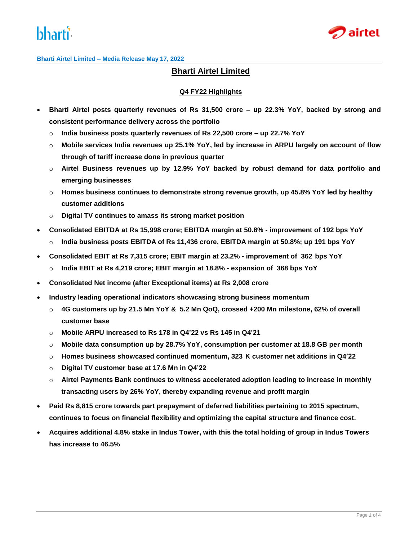



**Bharti Airtel Limited – Media Release May 17, 2022**

## **Bharti Airtel Limited**

#### **Q4 FY22 Highlights**

- **Bharti Airtel posts quarterly revenues of Rs 31,500 crore – up 22.3% YoY, backed by strong and consistent performance delivery across the portfolio**
	- o **India business posts quarterly revenues of Rs 22,500 crore – up 22.7% YoY**
	- o **Mobile services India revenues up 25.1% YoY, led by increase in ARPU largely on account of flow through of tariff increase done in previous quarter**
	- o **Airtel Business revenues up by 12.9% YoY backed by robust demand for data portfolio and emerging businesses**
	- o **Homes business continues to demonstrate strong revenue growth, up 45.8% YoY led by healthy customer additions**
	- o **Digital TV continues to amass its strong market position**
- **Consolidated EBITDA at Rs 15,998 crore; EBITDA margin at 50.8% - improvement of 192 bps YoY**
	- o **India business posts EBITDA of Rs 11,436 crore, EBITDA margin at 50.8%; up 191 bps YoY**
- **Consolidated EBIT at Rs 7,315 crore; EBIT margin at 23.2% - improvement of 362 bps YoY**
	- o **India EBIT at Rs 4,219 crore; EBIT margin at 18.8% - expansion of 368 bps YoY**
- **Consolidated Net income (after Exceptional items) at Rs 2,008 crore**
- **Industry leading operational indicators showcasing strong business momentum**
	- o **4G customers up by 21.5 Mn YoY & 5.2 Mn QoQ, crossed +200 Mn milestone, 62% of overall customer base**
	- o **Mobile ARPU increased to Rs 178 in Q4'22 vs Rs 145 in Q4'21**
	- o **Mobile data consumption up by 28.7% YoY, consumption per customer at 18.8 GB per month**
	- o **Homes business showcased continued momentum, 323 K customer net additions in Q4'22**
	- o **Digital TV customer base at 17.6 Mn in Q4'22**
	- o **Airtel Payments Bank continues to witness accelerated adoption leading to increase in monthly transacting users by 26% YoY, thereby expanding revenue and profit margin**
- **Paid Rs 8,815 crore towards part prepayment of deferred liabilities pertaining to 2015 spectrum, continues to focus on financial flexibility and optimizing the capital structure and finance cost.**
- **Acquires additional 4.8% stake in Indus Tower, with this the total holding of group in Indus Towers has increase to 46.5%**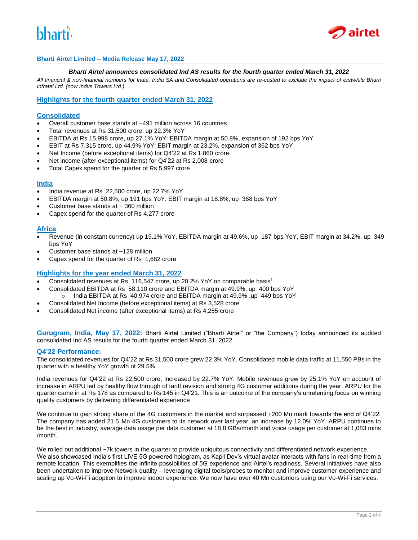



#### **Bharti Airtel Limited – Media Release May 17, 2022**

#### *Bharti Airtel announces consolidated Ind AS results for the fourth quarter ended March 31, 2022*

*All financial & non-financial numbers for India, India SA and Consolidated operations are re-casted to exclude the impact of erstwhile Bharti Infratel Ltd. (now Indus Towers Ltd.)*

#### **Highlights for the fourth quarter ended March 31, 2022**

#### **Consolidated**

- Overall customer base stands at ~491 million across 16 countries
- Total revenues at Rs 31,500 crore, up 22.3% YoY
- EBITDA at Rs 15,998 crore, up 27.1% YoY; EBITDA margin at 50.8%, expansion of 192 bps YoY
- EBIT at Rs 7,315 crore, up 44.9% YoY; EBIT margin at 23.2%, expansion of 362 bps YoY
- Net Income (before exceptional items) for Q4'22 at Rs 1,860 crore
- Net income (after exceptional items) for Q4'22 at Rs 2,008 crore
- Total Capex spend for the quarter of Rs 5,997 crore

#### **India**

- India revenue at Rs 22,500 crore, up 22.7% YoY
- EBITDA margin at 50.8%, up 191 bps YoY. EBIT margin at 18.8%, up 368 bps YoY
- Customer base stands at ~ 360 million
- Capex spend for the quarter of Rs 4,277 crore

#### **Africa**

- Revenue (in constant currency) up 19.1% YoY, EBITDA margin at 49.6%, up 187 bps YoY, EBIT margin at 34.2%, up 349 bps YoY
- Customer base stands at ~128 million
- Capex spend for the quarter of Rs 1,682 crore

#### **Highlights for the year ended March 31, 2022**

- Consolidated revenues at Rs 116,547 crore, up 20.2% YoY on comparable basis<sup>1</sup>
- Consolidated EBITDA at Rs 58,110 crore and EBITDA margin at 49.9%, up 400 bps YoY o India EBITDA at Rs 40,974 crore and EBITDA margin at 49.9% ,up 449 bps YoY
- Consolidated Net Income (before exceptional items) at Rs 3,528 crore
- Consolidated Net income (after exceptional items) at Rs 4,255 crore

**Gurugram, India, May 17, 2022:** Bharti Airtel Limited ("Bharti Airtel" or "the Company") today announced its audited consolidated Ind AS results for the fourth quarter ended March 31, 2022.

#### **Q4'22 Performance:**

The consolidated revenues for Q4'22 at Rs 31,500 crore grew 22.3% YoY. Consolidated mobile data traffic at 11,550 PBs in the quarter with a healthy YoY growth of 29.5%.

India revenues for Q4'22 at Rs 22,500 crore, increased by 22.7% YoY. Mobile revenues grew by 25.1% YoY on account of increase in ARPU led by healthy flow through of tariff revision and strong 4G customer additions during the year. ARPU for the quarter came in at Rs 178 as compared to Rs 145 in Q4'21. This is an outcome of the company's unrelenting focus on winning quality customers by delivering differentiated experience

We continue to gain strong share of the 4G customers in the market and surpassed +200 Mn mark towards the end of Q4'22. The company has added 21.5 Mn 4G customers to its network over last year, an increase by 12.0% YoY. ARPU continues to be the best in industry, average data usage per data customer at 18.8 GBs/month and voice usage per customer at 1,083 mins /month.

We rolled out additional ~7k towers in the quarter to provide ubiquitous connectivity and differentiated network experience. We also showcased India's first LIVE 5G powered hologram, as Kapil Dev's virtual avatar interacts with fans in real-time from a remote location. This exemplifies the infinite possibilities of 5G experience and Airtel's readiness. Several initiatives have also been undertaken to improve Network quality – leveraging digital tools/probes to monitor and improve customer experience and scaling up Vo-Wi-Fi adoption to improve indoor experience. We now have over 40 Mn customers using our Vo-Wi-Fi services.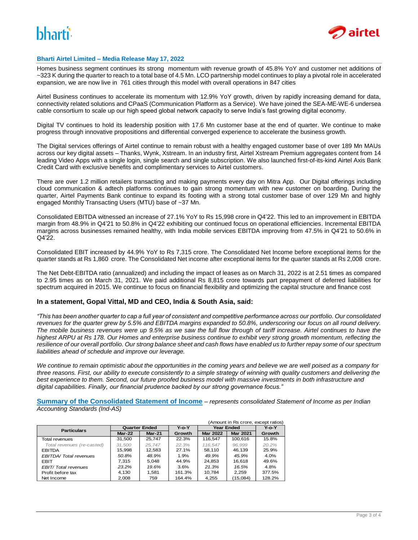# **'**



#### **Bharti Airtel Limited – Media Release May 17, 2022**

Homes business segment continues its strong momentum with revenue growth of 45.8% YoY and customer net additions of ~323 K during the quarter to reach to a total base of 4.5 Mn. LCO partnership model continues to play a pivotal role in accelerated expansion, we are now live in 761 cities through this model with overall operations in 847 cities

Airtel Business continues to accelerate its momentum with 12.9% YoY growth, driven by rapidly increasing demand for data, connectivity related solutions and CPaaS (Communication Platform as a Service). We have joined the SEA-ME-WE-6 undersea cable consortium to scale up our high speed global network capacity to serve India's fast growing digital economy.

Digital TV continues to hold its leadership position with 17.6 Mn customer base at the end of quarter. We continue to make progress through innovative propositions and differential converged experience to accelerate the business growth.

The Digital services offerings of Airtel continue to remain robust with a healthy engaged customer base of over 189 Mn MAUs across our key digital assets – Thanks, Wynk, Xstream. In an industry first, Airtel Xstream Premium aggregates content from 14 leading Video Apps with a single login, single search and single subscription. We also launched first-of-its-kind Airtel Axis Bank Credit Card with exclusive benefits and complimentary services to Airtel customers.

There are over 1.2 million retailers transacting and making payments every day on Mitra App. Our Digital offerings including cloud communication & adtech platforms continues to gain strong momentum with new customer on boarding. During the quarter, Airtel Payments Bank continue to expand its footing with a strong total customer base of over 129 Mn and highly engaged Monthly Transacting Users (MTU) base of ~37 Mn.

Consolidated EBITDA witnessed an increase of 27.1% YoY to Rs 15,998 crore in Q4'22. This led to an improvement in EBITDA margin from 48.9% in Q4'21 to 50.8% in Q4'22 exhibiting our continued focus on operational efficiencies. Incremental EBITDA margins across businesses remained healthy, with India mobile services EBITDA improving from 47.5% in Q4'21 to 50.6% in Q4'22.

Consolidated EBIT increased by 44.9% YoY to Rs 7,315 crore. The Consolidated Net Income before exceptional items for the quarter stands at Rs 1,860 crore. The Consolidated Net income after exceptional items for the quarter stands at Rs 2,008 crore.

The Net Debt-EBITDA ratio (annualized) and including the impact of leases as on March 31, 2022 is at 2.51 times as compared to 2.95 times as on March 31, 2021. We paid additional Rs 8,815 crore towards part prepayment of deferred liabilities for spectrum acquired in 2015. We continue to focus on financial flexibility and optimizing the capital structure and finance cost

#### **In a statement, Gopal Vittal, MD and CEO, India & South Asia, said:**

*"This has been another quarter to cap a full year of consistent and competitive performance across our portfolio. Our consolidated revenues for the quarter grew by 5.5% and EBITDA margins expanded to 50.8%, underscoring our focus on all round delivery. The mobile business revenues were up 9.5% as we saw the full flow through of tariff increase. Airtel continues to have the highest ARPU at Rs 178. Our Homes and enterprise business continue to exhibit very strong growth momentum, reflecting the resilience of our overall portfolio. Our strong balance sheet and cash flows have enabled us to further repay some of our spectrum liabilities ahead of schedule and improve our leverage.* 

*We continue to remain optimistic about the opportunities in the coming years and believe we are well poised as a company for three reasons. First, our ability to execute consistently to a simple strategy of winning with quality customers and delivering the best experience to them. Second, our future proofed business model with massive investments in both infrastructure and digital capabilities. Finally, our financial prudence backed by our strong governance focus."*

**Summary of the Consolidated Statement of Income** *– represents consolidated Statement of Income as per Indian Accounting Standards (Ind-AS)*

|                              | (Amount in Rs crore, except ratios) |               |             |                   |                 |             |  |
|------------------------------|-------------------------------------|---------------|-------------|-------------------|-----------------|-------------|--|
| <b>Particulars</b>           | <b>Quarter Ended</b>                |               | $Y$ -o- $Y$ | <b>Year Ended</b> |                 | $Y$ -o- $Y$ |  |
|                              | $Mar-22$                            | <b>Mar-21</b> | Growth      | <b>Mar 2022</b>   | <b>Mar 2021</b> | Growth      |  |
| Total revenues               | 31.500                              | 25.747        | 22.3%       | 116.547           | 100,616         | 15.8%       |  |
| Total revenues (re-casted)   | 31.500                              | 25.747        | 22.3%       | 116.547           | 96.999          | 20.2%       |  |
| <b>EBITDA</b>                | 15.998                              | 12.583        | 27.1%       | 58.110            | 46.139          | 25.9%       |  |
| <b>EBITDA/Total revenues</b> | 50.8%                               | 48.9%         | 1.9%        | 49.9%             | 45.9%           | 4.0%        |  |
| <b>EBIT</b>                  | 7.315                               | 5.048         | 44.9%       | 24.853            | 16.618          | 49.6%       |  |
| <b>EBIT/Total revenues</b>   | 23.2%                               | 19.6%         | 3.6%        | 21.3%             | 16.5%           | 4.8%        |  |
| Profit before tax            | 4.130                               | 1.581         | 161.3%      | 10.784            | 2.259           | 377.5%      |  |
| Net Income                   | 2.008                               | 759           | 164.4%      | 4.255             | (15,084)        | 128.2%      |  |